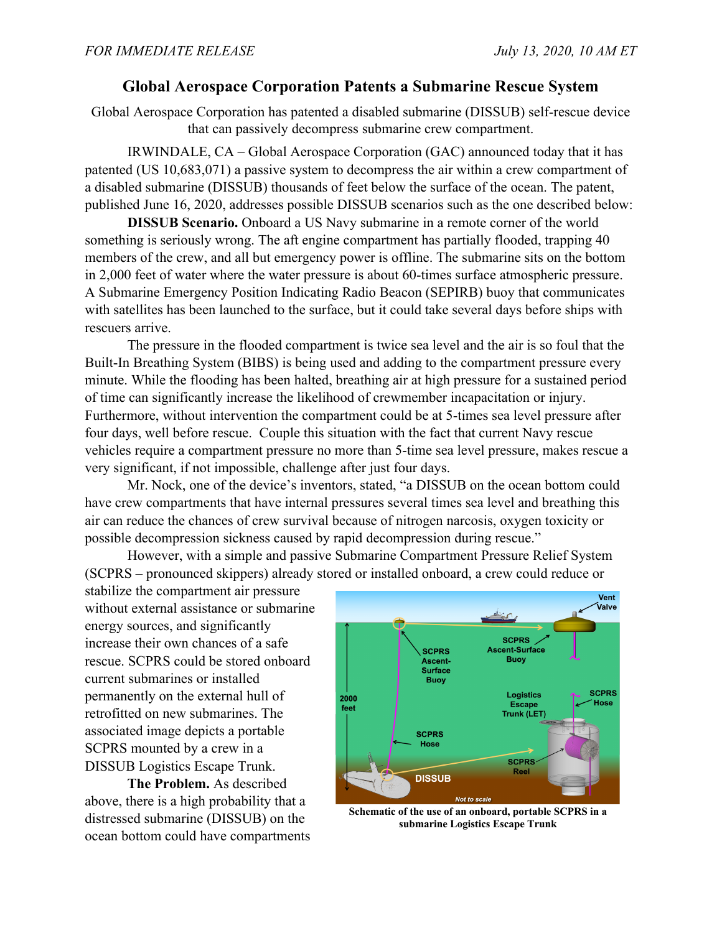## **Global Aerospace Corporation Patents a Submarine Rescue System**

Global Aerospace Corporation has patented a disabled submarine (DISSUB) self-rescue device that can passively decompress submarine crew compartment.

IRWINDALE, CA – Global Aerospace Corporation (GAC) announced today that it has patented (US 10,683,071) a passive system to decompress the air within a crew compartment of a disabled submarine (DISSUB) thousands of feet below the surface of the ocean. The patent, published June 16, 2020, addresses possible DISSUB scenarios such as the one described below:

**DISSUB Scenario.** Onboard a US Navy submarine in a remote corner of the world something is seriously wrong. The aft engine compartment has partially flooded, trapping 40 members of the crew, and all but emergency power is offline. The submarine sits on the bottom in 2,000 feet of water where the water pressure is about 60-times surface atmospheric pressure. A Submarine Emergency Position Indicating Radio Beacon (SEPIRB) buoy that communicates with satellites has been launched to the surface, but it could take several days before ships with rescuers arrive.

The pressure in the flooded compartment is twice sea level and the air is so foul that the Built-In Breathing System (BIBS) is being used and adding to the compartment pressure every minute. While the flooding has been halted, breathing air at high pressure for a sustained period of time can significantly increase the likelihood of crewmember incapacitation or injury. Furthermore, without intervention the compartment could be at 5-times sea level pressure after four days, well before rescue. Couple this situation with the fact that current Navy rescue vehicles require a compartment pressure no more than 5-time sea level pressure, makes rescue a very significant, if not impossible, challenge after just four days.

Mr. Nock, one of the device's inventors, stated, "a DISSUB on the ocean bottom could have crew compartments that have internal pressures several times sea level and breathing this air can reduce the chances of crew survival because of nitrogen narcosis, oxygen toxicity or possible decompression sickness caused by rapid decompression during rescue."

However, with a simple and passive Submarine Compartment Pressure Relief System (SCPRS – pronounced skippers) already stored or installed onboard, a crew could reduce or

stabilize the compartment air pressure without external assistance or submarine energy sources, and significantly increase their own chances of a safe rescue. SCPRS could be stored onboard current submarines or installed permanently on the external hull of retrofitted on new submarines. The associated image depicts a portable SCPRS mounted by a crew in a DISSUB Logistics Escape Trunk.

**The Problem.** As described above, there is a high probability that a distressed submarine (DISSUB) on the ocean bottom could have compartments



**Schematic of the use of an onboard, portable SCPRS in a submarine Logistics Escape Trunk**